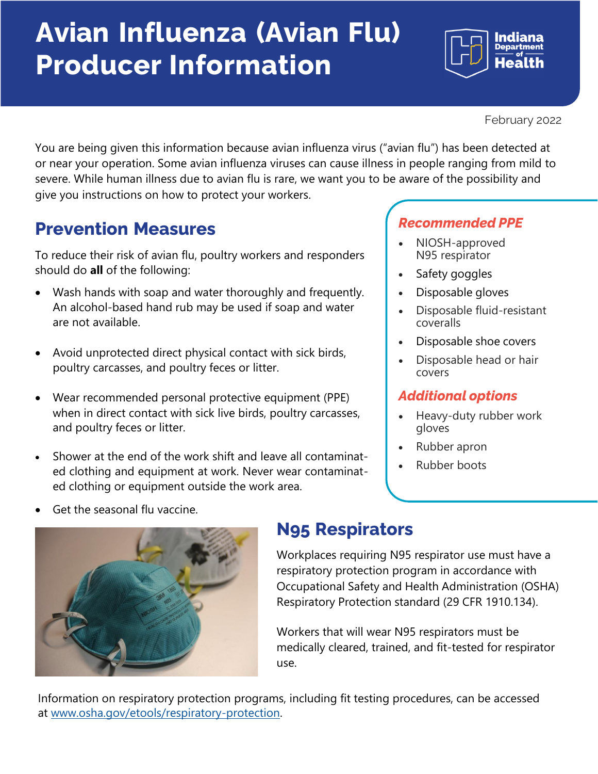## **Avian Influenza (Avian Flu) Producer Information**

February 2022

You are being given this information because avian influenza virus ("avian flu") has been detected at or near your operation. Some avian influenza viruses can cause illness in people ranging from mild to severe. While human illness due to avian flu is rare, we want you to be aware of the possibility and give you instructions on how to protect your workers.

### **Prevention Measures**

To reduce their risk of avian flu, poultry workers and responders should do **all** of the following:

- Wash hands with soap and water thoroughly and frequently. An alcohol-based hand rub may be used if soap and water are not available.
- Avoid unprotected direct physical contact with sick birds, poultry carcasses, and poultry feces or litter.
- Wear recommended personal protective equipment (PPE) when in direct contact with sick live birds, poultry carcasses, and poultry feces or litter.
- Shower at the end of the work shift and leave all contaminated clothing and equipment at work. Never wear contaminated clothing or equipment outside the work area.

### *Recommended PPE*

- NIOSH-approved N95 respirator
- Safety goggles
- Disposable gloves
- Disposable fluid-resistant coveralls
- Disposable shoe covers
- Disposable head or hair covers

### *Additional options*

- Heavy-duty rubber work gloves
- Rubber apron
- Rubber boots





### **N95 Respirators**

Workplaces requiring N95 respirator use must have a respiratory protection program in accordance with Occupational Safety and Health Administration (OSHA) Respiratory Protection standard (29 CFR 1910.134).

Workers that will wear N95 respirators must be medically cleared, trained, and fit-tested for respirator use.

Information on respiratory protection programs, including fit testing procedures, can be accessed at [www.osha.gov/etools/respiratory-protection.](http://www.osha.gov/etools/respiratory-protection)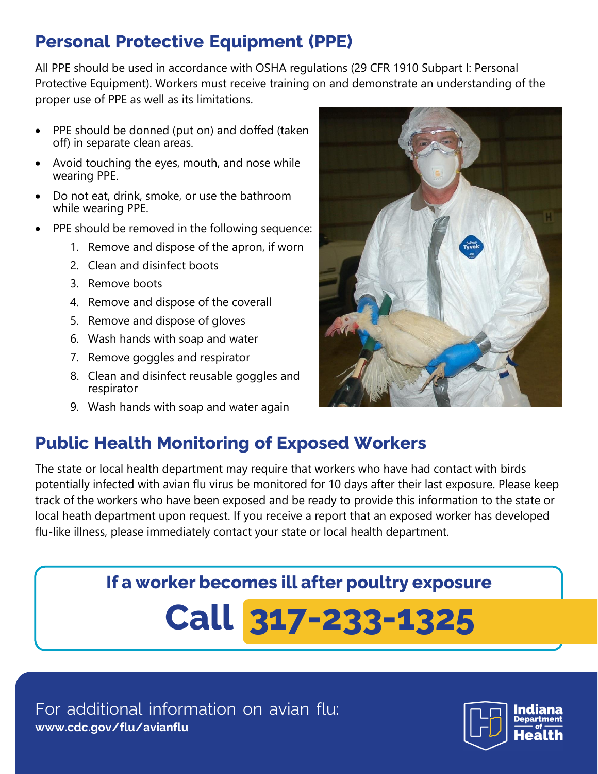### **Personal Protective Equipment (PPE)**

All PPE should be used in accordance with OSHA regulations (29 CFR 1910 Subpart I: Personal Protective Equipment). Workers must receive training on and demonstrate an understanding of the proper use of PPE as well as its limitations.

- PPE should be donned (put on) and doffed (taken off) in separate clean areas.
- Avoid touching the eyes, mouth, and nose while wearing PPE.
- Do not eat, drink, smoke, or use the bathroom while wearing PPE.
- PPE should be removed in the following sequence:
	- 1. Remove and dispose of the apron, if worn
	- 2. Clean and disinfect boots
	- 3. Remove boots
	- 4. Remove and dispose of the coverall
	- 5. Remove and dispose of gloves
	- 6. Wash hands with soap and water
	- 7. Remove goggles and respirator
	- 8. Clean and disinfect reusable goggles and respirator
	- 9. Wash hands with soap and water again



The state or local health department may require that workers who have had contact with birds potentially infected with avian flu virus be monitored for 10 days after their last exposure. Please keep track of the workers who have been exposed and be ready to provide this information to the state or local heath department upon request. If you receive a report that an exposed worker has developed flu-like illness, please immediately contact your state or local health department.

## **If a worker becomes ill after poultry exposure Call 317-233-1325**



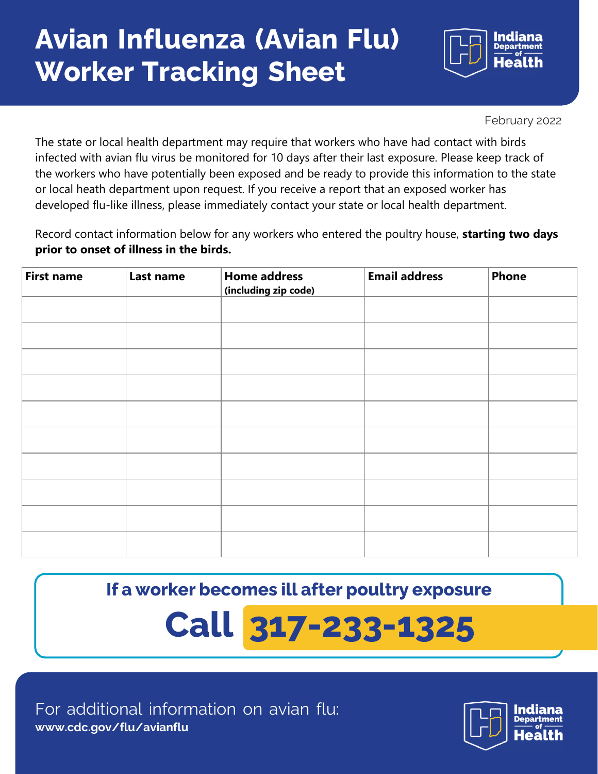## **Avian Influenza (Avian Flu) Worker Tracking Sheet**



February 2022

The state or local health department may require that workers who have had contact with birds infected with avian flu virus be monitored for 10 days after their last exposure. Please keep track of the workers who have potentially been exposed and be ready to provide this information to the state or local heath department upon request. If you receive a report that an exposed worker has developed flu-like illness, please immediately contact your state or local health department.

Record contact information below for any workers who entered the poultry house, **starting two days prior to onset of illness in the birds.**

| <b>First name</b> | Last name | <b>Home address</b><br>(including zip code) | <b>Email address</b> | <b>Phone</b> |
|-------------------|-----------|---------------------------------------------|----------------------|--------------|
|                   |           |                                             |                      |              |
|                   |           |                                             |                      |              |
|                   |           |                                             |                      |              |
|                   |           |                                             |                      |              |
|                   |           |                                             |                      |              |
|                   |           |                                             |                      |              |
|                   |           |                                             |                      |              |
|                   |           |                                             |                      |              |
|                   |           |                                             |                      |              |
|                   |           |                                             |                      |              |

**If a worker becomes ill after poultry exposure**

# **Call 317-233-1325**

For additional information on avian flu: **[www.cdc.gov/flu/avianflu](http://www.cdc.gov/flu/avianflu)**

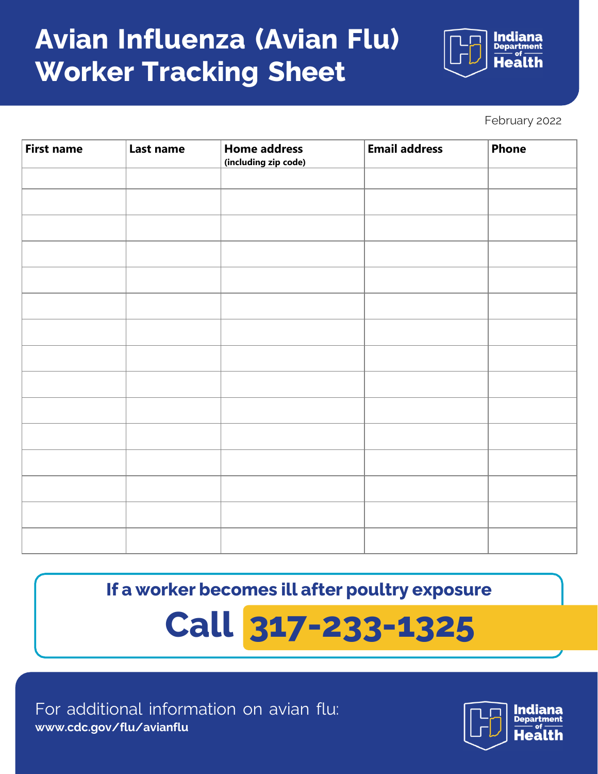## **Avian Influenza (Avian Flu) Worker Tracking Sheet**

Indiana th

February 2022

| <b>First name</b> | Last name | <b>Home address</b><br>(including zip code) | <b>Email address</b> | <b>Phone</b> |
|-------------------|-----------|---------------------------------------------|----------------------|--------------|
|                   |           |                                             |                      |              |
|                   |           |                                             |                      |              |
|                   |           |                                             |                      |              |
|                   |           |                                             |                      |              |
|                   |           |                                             |                      |              |
|                   |           |                                             |                      |              |
|                   |           |                                             |                      |              |
|                   |           |                                             |                      |              |
|                   |           |                                             |                      |              |
|                   |           |                                             |                      |              |
|                   |           |                                             |                      |              |
|                   |           |                                             |                      |              |
|                   |           |                                             |                      |              |
|                   |           |                                             |                      |              |
|                   |           |                                             |                      |              |

**If a worker becomes ill after poultry exposure**

## **Call 317-233-1325**

For additional information on avian flu: **[www.cdc.gov/flu/avianflu](http://www.cdc.gov/flu/avianflu)**